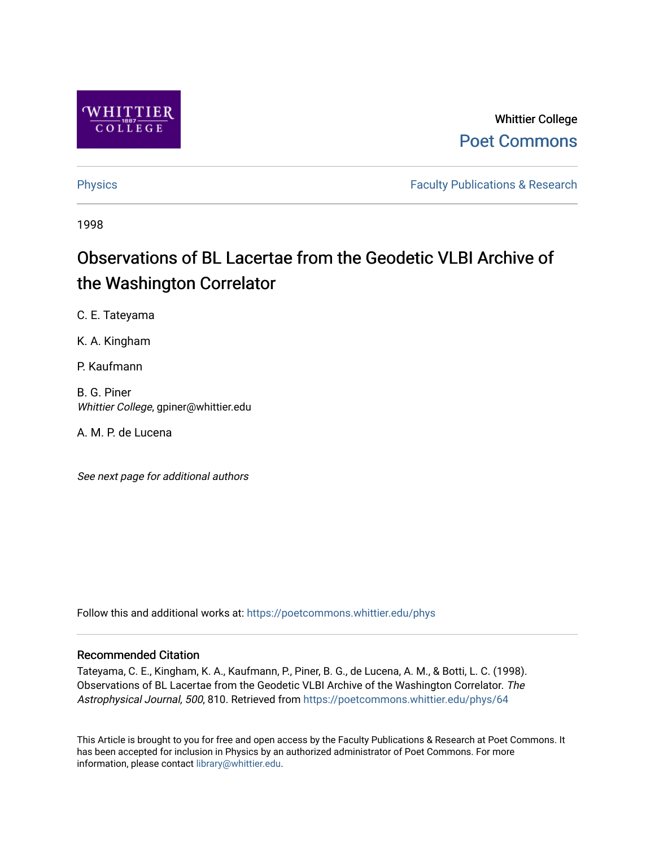

# Whittier College [Poet Commons](https://poetcommons.whittier.edu/)

[Physics](https://poetcommons.whittier.edu/phys) **Faculty Publications & Research Physics Faculty Publications & Research** 

1998

# Observations of BL Lacertae from the Geodetic VLBI Archive of the Washington Correlator

C. E. Tateyama

K. A. Kingham

P. Kaufmann

B. G. Piner Whittier College, gpiner@whittier.edu

A. M. P. de Lucena

See next page for additional authors

Follow this and additional works at: [https://poetcommons.whittier.edu/phys](https://poetcommons.whittier.edu/phys?utm_source=poetcommons.whittier.edu%2Fphys%2F64&utm_medium=PDF&utm_campaign=PDFCoverPages)

### Recommended Citation

Tateyama, C. E., Kingham, K. A., Kaufmann, P., Piner, B. G., de Lucena, A. M., & Botti, L. C. (1998). Observations of BL Lacertae from the Geodetic VLBI Archive of the Washington Correlator. The Astrophysical Journal, 500, 810. Retrieved from [https://poetcommons.whittier.edu/phys/64](https://poetcommons.whittier.edu/phys/64?utm_source=poetcommons.whittier.edu%2Fphys%2F64&utm_medium=PDF&utm_campaign=PDFCoverPages) 

This Article is brought to you for free and open access by the Faculty Publications & Research at Poet Commons. It has been accepted for inclusion in Physics by an authorized administrator of Poet Commons. For more information, please contact [library@whittier.edu.](mailto:library@whittier.edu)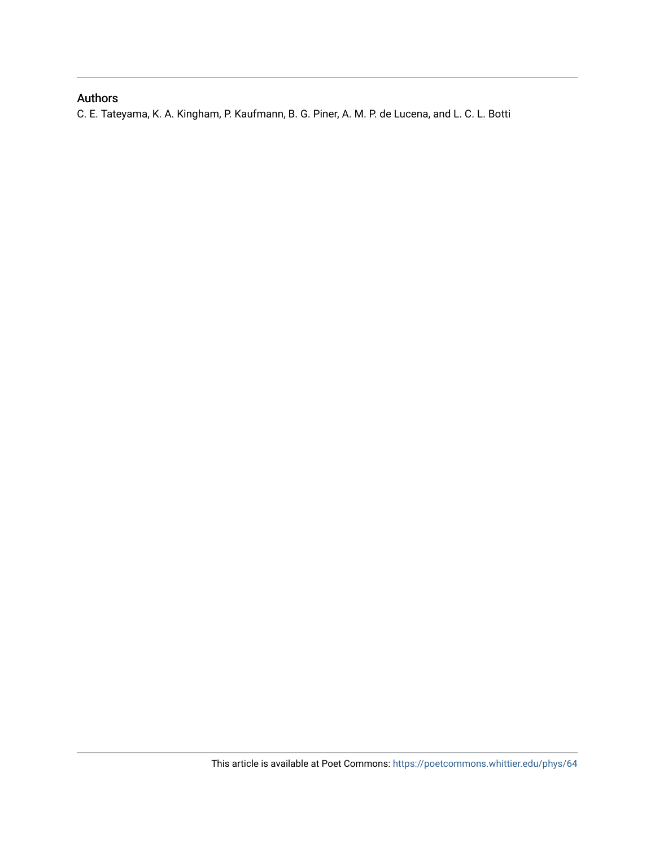## Authors

C. E. Tateyama, K. A. Kingham, P. Kaufmann, B. G. Piner, A. M. P. de Lucena, and L. C. L. Botti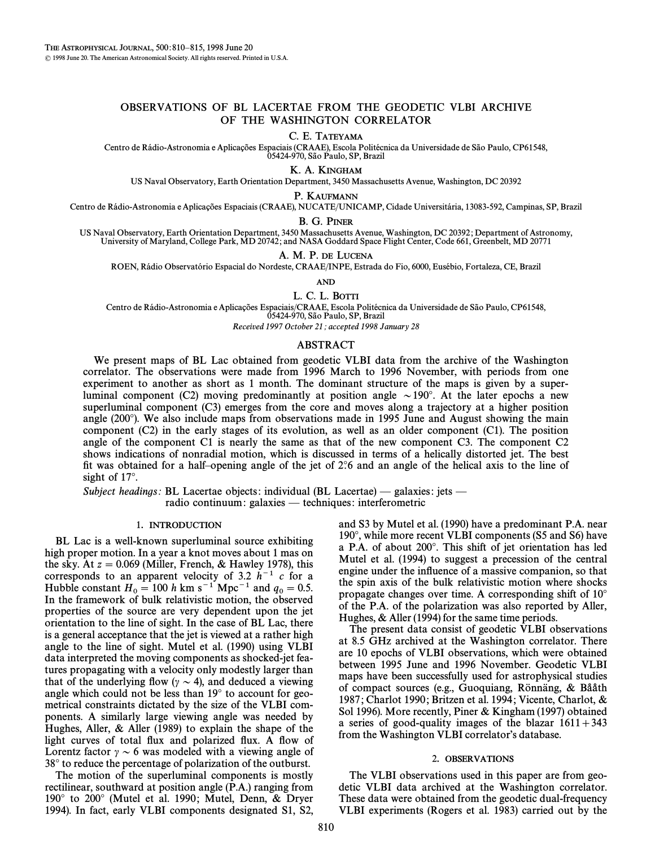### OBSERVATIONS OF BL LACERTAE FROM THE GEODETIC VLBI ARCHIVE OF THE WASHINGTON CORRELATOR

C. E. TATEYAMA

Centro de Rádio-Astronomia e Aplicações Espaciais (CRAAE), Escola Politécnica da Universidade de São Paulo, CP61548,<br>05424-970, São Paulo, SP, Brazil

K. A. KINGHAM

US Naval Observatory, Earth Orientation Department, 3450 Massachusetts Avenue, Washington, DC 20392

P. KAUFMANN

Centro de Rádio-Astronomia e Aplicações Espaciais (CRAAE), NUCATE/UNICAMP, Cidade Universitária, 13083-592, Campinas, SP, Brazil

#### B. G. PINER

US Naval Observatory, Earth Orientation Department, 3450 Massachusetts Avenue, Washington, DC 20392; Department of Astronomy,<br>University of Maryland, College Park, MD 20742; and NASA Goddard Space Flight Center, Code 661,

A. M. P. DE LUCENA

ROEN, Rádio Observatório Espacial do Nordeste, CRAAE/INPE, Estrada do Fio, 6000, Eusébio, Fortaleza, CE, Brazil

AND

L. C. L. BOTTI

Centro de Rádio-Astronomia e Aplicações Espaciais/CRAAE, Escola Politécnica da Universidade de São Paulo, CP61548, 05424-970, São Paulo, SP, Brazil

Received 1997 October 21; accepted 1998 January 28

#### ABSTRACT

We present maps of BL Lac obtained from geodetic VLBI data from the archive of the Washington correlator. The observations were made from 1996 March to 1996 November, with periods from one experiment to another as short as 1 month. The dominant structure of the maps is given by a superluminal component (C2) moving predominantly at position angle  $\sim 190^\circ$ . At the later epochs a new superluminal component (C3) emerges from the core and moves along a trajectory at a higher position angle  $(200^{\circ})$ . We also include maps from observations made in 1995 June and August showing the main component (C2) in the early stages of its evolution, as well as an older component (C1). The position angle of the component C1 is nearly the same as that of the new component C3. The component C2 shows indications of nonradial motion, which is discussed in terms of a helically distorted jet. The best fit was obtained for a half-opening angle of the jet of  $2\degree$  and an angle of the helical axis to the line of sight of  $17^\circ$ .

Subject headings: BL Lacertae objects: individual (BL Lacertae) — galaxies: jets —

radio continuum: galaxies — techniques: interferometric

#### 1. INTRODUCTION

BL Lac is a well-known superluminal source exhibiting high proper motion. In a year a knot moves about 1 mas on the sky. At  $z = 0.069$  (Miller, French, & Hawley 1978), this corresponds to an apparent velocity of 3.2  $h^{-1}$  c for a Hubble constant  $H_0 = 100 h \text{ km s}^{-1} \text{ Mpc}^{-1}$  and  $q_0 = 0.5$ .<br>In the framework of bulk relativistic motion, the observed In the framework of bulk relativistic motion, the observed properties of the source are very dependent upon the jet orientation to the line of sight. In the case of BL Lac, there is a general acceptance that the jet is viewed at a rather high angle to the line of sight. Mutel et al. (1990) using VLBI data interpreted the moving components as shocked-jet features propagating with a velocity only modestly larger than that of the underlying flow ( $\gamma \sim 4$ ), and deduced a viewing angle which could not be less than  $19°$  to account for geometrical constraints dictated by the size of the VLBI components. A similarly large viewing angle was needed by Hughes, Aller, & Aller (1989) to explain the shape of the light curves of total flux and polarized flux. A flow of Lorentz factor  $\gamma \sim 6$  was modeled with a viewing angle of 38° to reduce the percentage of polarization of the outburst.

The motion of the superluminal components is mostly rectilinear, southward at position angle (P.A.) ranging from 190 $\degree$  to 200 $\degree$  (Mutel et al. 1990; Mutel, Denn, & Dryer 1994). In fact, early VLBI components designated S1, S2,

and S3 by Mutel et al. (1990) have a predominant P.A. near  $190^\circ$ , while more recent VLBI components (S5 and S6) have a P.A. of about 200°. This shift of jet orientation has led Mutel et al. (1994) to suggest a precession of the central engine under the influence of a massive companion, so that the spin axis of the bulk relativistic motion where shocks propagate changes over time. A corresponding shift of  $10^{\circ}$ of the P.A. of the polarization was also reported by Aller, Hughes,  $&$  Aller (1994) for the same time periods.

The present data consist of geodetic VLBI observations at 8.5 GHz archived at the Washington correlator. There are 10 epochs of VLBI observations, which were obtained between 1995 June and 1996 November. Geodetic VLBI maps have been successfully used for astrophysical studies of compact sources (e.g., Guoquiang, Rönnäng,  $\&$  Bååth 1987; Charlot 1990; Britzen et al. 1994; Vicente, Charlot,  $\&$ Sol 1996). More recently, Piner & Kingham (1997) obtained a series of good-quality images of the blazar  $1611+343$ from the Washington VLBI correlator's database.

#### 2. OBSERVATIONS

The VLBI observations used in this paper are from geodetic VLBI data archived at the Washington correlator. These data were obtained from the geodetic dual-frequency VLBI experiments (Rogers et al. 1983) carried out by the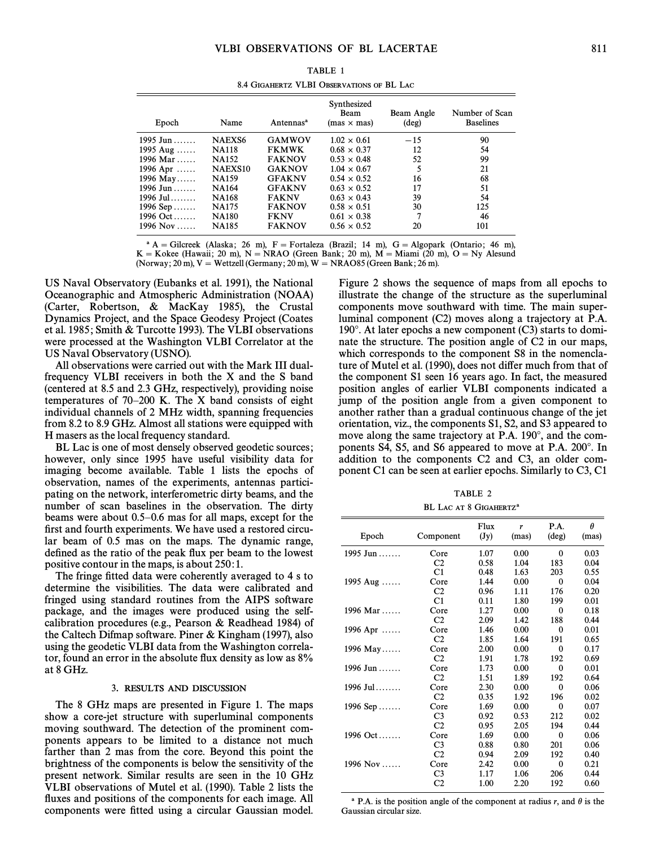| Epoch            | Name                | Antennas <sup>a</sup> | Synthesized<br>Beam<br>$(max \times mas)$ | Beam Angle<br>$(\text{deg})$ | Number of Scan<br><b>Baselines</b> |
|------------------|---------------------|-----------------------|-------------------------------------------|------------------------------|------------------------------------|
| 1995 Jun         | <b>NAEXS6</b>       | <b>GAMWOV</b>         | $1.02 \times 0.61$                        | $-15$                        | 90                                 |
| 1995 Aug         | <b>NA118</b>        | <b>FKMWK</b>          | $0.68 \times 0.37$                        | 12                           | 54                                 |
| 1996 Mar         | <b>NA152</b>        | <b>FAKNOV</b>         | $0.53 \times 0.48$                        | 52                           | 99                                 |
| 1996 Apr         | NAEXS <sub>10</sub> | <b>GAKNOV</b>         | $1.04 \times 0.67$                        | 5                            | 21                                 |
| 1996 May         | <b>NA159</b>        | <b>GFAKNV</b>         | $0.54 \times 0.52$                        | 16                           | 68                                 |
| 1996 Jun         | <b>NA164</b>        | <b>GFAKNV</b>         | $0.63 \times 0.52$                        | 17                           | 51                                 |
| 1996 Jul……       | <b>NA168</b>        | <b>FAKNV</b>          | $0.63 \times 0.43$                        | 39                           | 54                                 |
| 1996 Sep $\dots$ | <b>NA175</b>        | <b>FAKNOV</b>         | $0.58 \times 0.51$                        | 30                           | 125                                |
| 1996 Oct         | <b>NA180</b>        | <b>FKNV</b>           | $0.61 \times 0.38$                        | 7                            | 46                                 |
| 1996 Nov         | <b>NA185</b>        | <b>FAKNOV</b>         | $0.56 \times 0.52$                        | 20                           | 101                                |
|                  |                     |                       |                                           |                              |                                    |

| TABLE 1                                   |  |  |  |  |  |  |
|-------------------------------------------|--|--|--|--|--|--|
| 8.4 GIGAHERTZ VLBI OBSERVATIONS OF BL LAC |  |  |  |  |  |  |

<sup>a</sup> A = Gilcreek (Alaska; 26 m), F = Fortaleza (Brazil; 14 m), G = Algopark (Ontario; 46 m), K = Kokee (Hawaii; 20 m), N = NRAO (Green Bank; 20 m), M = Miami (20 m), O = Ny Alesund

(Norway; 20 m),  $V = W$ ettzell (Germany; 20 m),  $W = NRAO85$  (Green Bank; 26 m).

US Naval Observatory (Eubanks et al. 1991), the National Oceanographic and Atmospheric Administration (NOAA) (Carter, Robertson, & MacKay 1985), the Crustal Dynamics Project, and the Space Geodesy Project (Coates et al. 1985; Smith & Turcotte 1993). The VLBI observations were processed at the Washington VLBI Correlator at the US Naval Observatory (USNO).

All observations were carried out with the Mark III dualfrequency VLBI receivers in both the X and the S band (centered at 8.5 and 2.3 GHz, respectively), providing noise temperatures of  $70-200$  K. The X band consists of eight individual channels of 2 MHz width, spanning frequencies from 8.2 to 8.9 GHz. Almost all stations were equipped with H masers as the local frequency standard.

BL Lac is one of most densely observed geodetic sources; however, only since 1995 have useful visibility data for imaging become available. Table 1 lists the epochs of observation, names of the experiments, antennas participating on the network, interferometric dirty beams, and the number of scan baselines in the observation. The dirty beams were about  $0.5-0.6$  mas for all maps, except for the first and fourth experiments. We have used a restored circular beam of 0.5 mas on the maps. The dynamic range, defined as the ratio of the peak flux per beam to the lowest positive contour in the maps, is about 250:1.

The fringe fitted data were coherently averaged to 4 s to determine the visibilities. The data were calibrated and fringed using standard routines from the AIPS software package, and the images were produced using the selfcalibration procedures (e.g., Pearson  $\&$  Readhead 1984) of the Caltech Difmap software. Piner & Kingham  $(1997)$ , also using the geodetic VLBI data from the Washington correlator, found an error in the absolute flux density as low as  $8\%$ at 8 GHz.

#### 3. RESULTS AND DISCUSSION

The 8 GHz maps are presented in Figure 1. The maps show a core-jet structure with superluminal components moving southward. The detection of the prominent components appears to be limited to a distance not much farther than 2 mas from the core. Beyond this point the brightness of the components is below the sensitivity of the present network. Similar results are seen in the 10 GHz VLBI observations of Mutel et al. (1990). Table 2 lists the fluxes and positions of the components for each image. All components were fitted using a circular Gaussian model.

Figure 2 shows the sequence of maps from all epochs to illustrate the change of the structure as the superluminal components move southward with time. The main superluminal component (C2) moves along a trajectory at P.A. 190 $^{\circ}$ . At later epochs a new component (C3) starts to dominate the structure. The position angle of C2 in our maps, which corresponds to the component S8 in the nomenclature of Mutel et al. (1990), does not differ much from that of the component S1 seen 16 years ago. In fact, the measured position angles of earlier VLBI components indicated a jump of the position angle from a given component to another rather than a gradual continuous change of the jet orientation, viz., the components S1, S2, and S3 appeared to move along the same trajectory at P.A. 190°, and the components S4, S5, and S6 appeared to move at P.A. 200 $^{\circ}$ . In addition to the components C2 and C3, an older component C1 can be seen at earlier epochs. Similarly to C3, C1

TABLE 2 BL LAC AT 8 GIGAHERTZ<sup>a</sup>

| Epoch                          | Component      | Flux<br>(Jy) | r<br>(mas) | P.A.<br>$(\text{deg})$ | $\theta$<br>(mas) |
|--------------------------------|----------------|--------------|------------|------------------------|-------------------|
| 1995 Jun                       | Core           | 1.07         | 0.00       | $\theta$               | 0.03              |
|                                | C <sub>2</sub> | 0.58         | 1.04       | 183                    | 0.04              |
|                                | C1             | 0.48         | 1.63       | 203                    | 0.55              |
| 1995 Aug                       | Core           | 1.44         | 0.00       | $\theta$               | 0.04              |
|                                | C <sub>2</sub> | 0.96         | 1.11       | 176                    | 0.20              |
|                                | C1             | 0.11         | 1.80       | 199                    | 0.01              |
| 1996 Mar                       | Core           | 1.27         | 0.00       | $\theta$               | 0.18              |
|                                | C <sub>2</sub> | 2.09         | 1.42       | 188                    | 0.44              |
| 1996 Apr                       | Core           | 1.46         | 0.00       | $\mathbf 0$            | 0.01              |
|                                | C <sub>2</sub> | 1.85         | 1.64       | 191                    | 0.65              |
| 1996 May                       | Core           | 2.00         | 0.00       | 0                      | 0.17              |
|                                | C <sub>2</sub> | 1.91         | 1.78       | 192                    | 0.69              |
| 1996 Jun                       | Core           | 1.73         | 0.00       | $\mathbf{0}$           | 0.01              |
|                                | C <sub>2</sub> | 1.51         | 1.89       | 192                    | 0.64              |
| $1996 \text{ Jul} \dots \dots$ | Core           | 2.30         | 0.00       | $\theta$               | 0.06              |
|                                | C2             | 0.35         | 1.92       | 196                    | 0.02              |
| 1996 Sep $\dots$               | Core           | 1.69         | 0.00       | $\theta$               | 0.07              |
|                                | C <sub>3</sub> | 0.92         | 0.53       | 212                    | 0.02              |
|                                | C <sub>2</sub> | 0.95         | 2.05       | 194                    | 0.44              |
| 1996 Oct                       | Core           | 1.69         | 0.00       | $\theta$               | 0.06              |
|                                | C <sub>3</sub> | 0.88         | 0.80       | 201                    | 0.06              |
|                                | C <sub>2</sub> | 0.94         | 2.09       | 192                    | 0.40              |
| 1996 Nov                       | Core           | 2.42         | 0.00       | $\mathbf 0$            | 0.21              |
|                                | C <sub>3</sub> | 1.17         | 1.06       | 206                    | 0.44              |
|                                | C <sub>2</sub> | 1.00         | 2.20       | 192                    | 0.60              |

<sup>a</sup> P.A. is the position angle of the component at radius r, and  $\theta$  is the Gaussian circular size.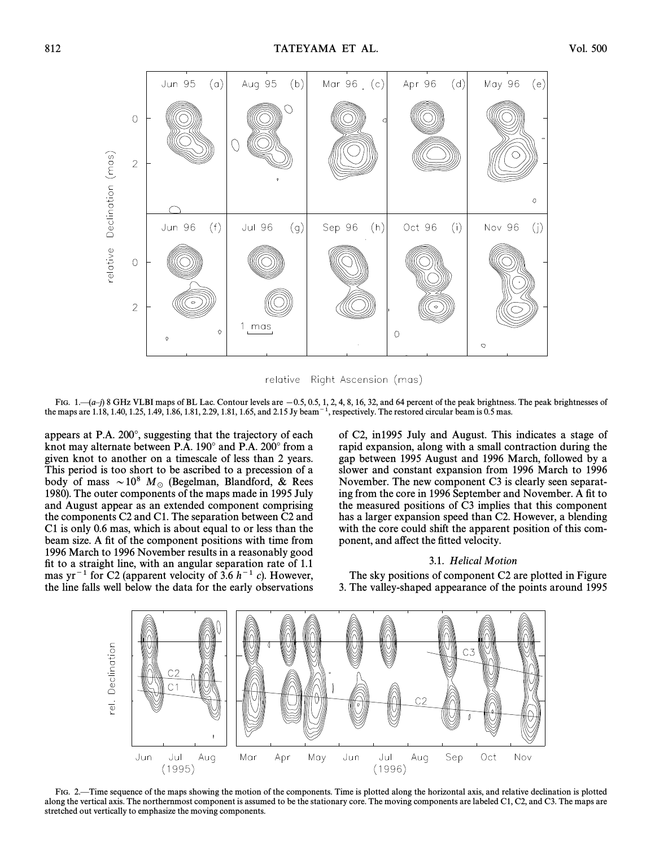

relative Right Ascension (mas)

FIG.  $1.$   $(a-j)$  8 GHz VLBI maps of BL Lac. Contour levels are  $-0.5, 0.5, 1, 2, 4, 8, 16, 32$ , and 64 percent of the peak brightness. The peak brightnesses of the maps are 1.18, 1.40, 1.25, 1.49, 1.86, 1.81, 2.29, 1.81, 1.65, and 2.15 Jy beam<sup> $-1$ </sup>, respectively. The restored circular beam is 0.5 mas.

appears at P.A. 200°, suggesting that the trajectory of each knot may alternate between P.A. 190° and P.A. 200° from a given knot to another on a timescale of less than 2 years. This period is too short to be ascribed to a precession of a body of mass  $\sim 10^8$  M<sub>o</sub> (Begelman, Blandford, & Rees 1980). The outer components of the maps made in 1995 July and August appear as an extended component comprising the components C2 and C1. The separation between C2 and C1 is only 0.6 mas, which is about equal to or less than the beam size. A fit of the component positions with time from 1996 March to 1996 November results in a reasonably good fit to a straight line, with an angular separation rate of  $1.1$ mas yr<sup>-1</sup> for C2 (apparent velocity of 3.6  $h^{-1}$  c). However, the line falls well below the data for the early observations

of C2, in1995 July and August. This indicates a stage of rapid expansion, along with a small contraction during the gap between 1995 August and 1996 March, followed by a slower and constant expansion from 1996 March to 1996 November. The new component C3 is clearly seen separating from the core in 1996 September and November. A fit to the measured positions of C3 implies that this component has a larger expansion speed than C2. However, a blending with the core could shift the apparent position of this component, and affect the fitted velocity.

#### 3.1. Helical Motion

The sky positions of component C2 are plotted in Figure 3. The valley-shaped appearance of the points around 1995



FIG. 2.—Time sequence of the maps showing the motion of the components. Time is plotted along the horizontal axis, and relative declination is plotted along the vertical axis. The northernmost component is assumed to be the stationary core. The moving components are labeled C1, C2, and C3. The maps are stretched out vertically to emphasize the moving components.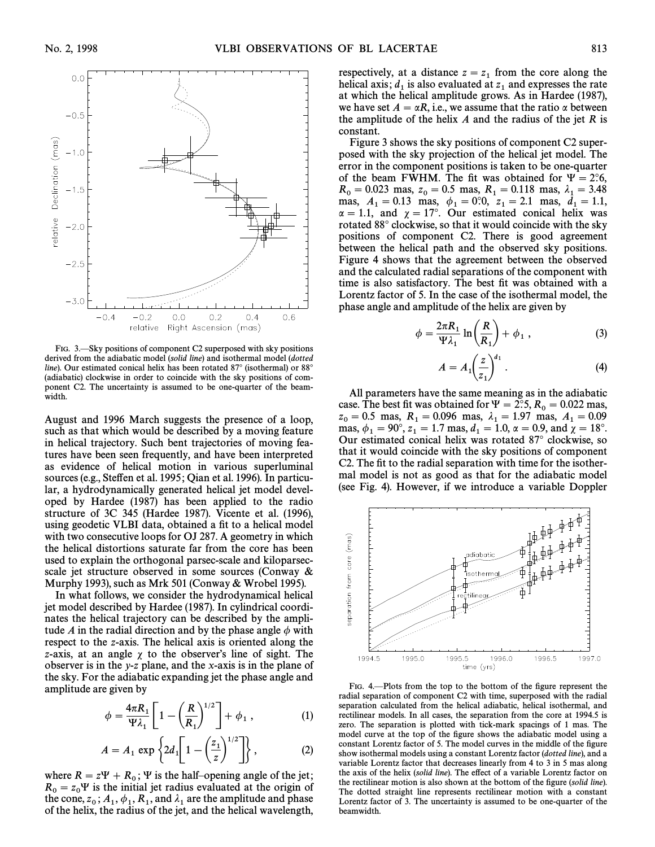

FIG. 3.—Sky positions of component C2 superposed with sky positions derived from the adiabatic model (solid line) and isothermal model (dotted line). Our estimated conical helix has been rotated  $87^\circ$  (isothermal) or  $88^\circ$ (adiabatic) clockwise in order to coincide with the sky positions of component C2. The uncertainty is assumed to be one-quarter of the beamwidth.

August and 1996 March suggests the presence of a loop, such as that which would be described by a moving feature in helical trajectory. Such bent trajectories of moving features have been seen frequently, and have been interpreted as evidence of helical motion in various superluminal sources (e.g., Steffen et al. 1995; Qian et al. 1996). In particular, a hydrodynamically generated helical jet model developed by Hardee (1987) has been applied to the radio structure of 3C 345 (Hardee 1987). Vicente et al.  $(1996)$ , using geodetic VLBI data, obtained a fit to a helical model with two consecutive loops for OJ 287. A geometry in which the helical distortions saturate far from the core has been used to explain the orthogonal parsec-scale and kiloparsecscale jet structure observed in some sources (Conway  $\&$ Murphy 1993), such as Mrk 501 (Conway  $&$  Wrobel 1995).

In what follows, we consider the hydrodynamical helical jet model described by Hardee (1987). In cylindrical coordinates the helical trajectory can be described by the amplitude A in the radial direction and by the phase angle  $\phi$  with respect to the z-axis. The helical axis is oriented along the z-axis, at an angle  $\chi$  to the observer's line of sight. The observer is in the y-z plane, and the x-axis is in the plane of the sky. For the adiabatic expanding jet the phase angle and amplitude are given by

$$
\phi = \frac{4\pi R_1}{\Psi \lambda_1} \left[ 1 - \left( \frac{R}{R_1} \right)^{1/2} \right] + \phi_1 , \qquad (1)
$$

$$
A = A_1 \exp \left\{ 2d_1 \left[ 1 - \left( \frac{z_1}{z} \right)^{1/2} \right] \right\},\tag{2}
$$

where  $R = z\Psi + R_0$ ;  $\Psi$  is the half-opening angle of the jet;  $R_0 = z_0 \Psi$  is the initial jet radius evaluated at the origin of the cone z i.d.  $\phi$  and  $\chi$  and  $\chi$  are the amplitude and phase  $\mathbf{r}_0 = \mathbf{z}_0 \mathbf{r}$  is the minimizer radius evaluated at the cone,  $\mathbf{z}_0$  is  $\mathbf{A}_1$ ,  $\mathbf{\phi}_1$ ,  $\mathbf{R}_1$ , and  $\mathbf{\lambda}_1$  are the amplitude and phase of the helix, the radius of the jet, and the helical wavelength, respectively, at a distance  $z = z<sub>1</sub>$  from the core along the 1 helical axis;  $d_1$  is also evaluated at  $z_1$  and expresses the rate<br>of which the belical amplitude grows As in Hardee (1987) at which the helical amplitude grows. As in Hardee (1987), we have set  $A = \alpha R$ , i.e., we assume that the ratio  $\alpha$  between the amplitude of the helix  $A$  and the radius of the jet  $R$  is constant.

Figure 3 shows the sky positions of component C2 superposed with the sky projection of the helical jet model. The error in the component positions is taken to be one-quarter of the beam FWHM. The fit was obtained for  $\Psi = 2^\circ 6$ ,  $R_0 = 0.023$  mas,  $z_0 = 0.5$  mas,  $R_1 = 0.118$  mas,  $\lambda_1 = 3.48$ <br>mas,  $A_1 = 0.13$  mas,  $\phi_1 = 0.02$  mas,  $\lambda_2 = 1.1$ mas,  $A_1 = 0.13$  mas,  $\phi_1 = 0^\circ 0$ ,  $z_1 = 2.1$  mas,  $d_1 = 1.1$ ,  $\alpha = 1.1$ , and  $\chi = 17^\circ$ . Our estimated conical helix was rotated 88° clockwise, so that it would coincide with the sky positions of component C2. There is good agreement between the helical path and the observed sky positions. Figure 4 shows that the agreement between the observed and the calculated radial separations of the component with time is also satisfactory. The best fit was obtained with a Lorentz factor of 5. In the case of the isothermal model, the

phase angle and amplitude of the helix are given by  
\n
$$
\phi = \frac{2\pi R_1}{\Psi \lambda_1} \ln \left( \frac{R}{R_1} \right) + \phi_1 ,
$$
\n(3)

$$
A = A_1 \left(\frac{z}{z_1}\right)^{d_1} . \tag{4}
$$

All parameters have the same meaning as in the adiabatic case. The best fit was obtained for  $\Psi = 2$ °.5,  $R_0 = 0.022$  mas,  $z_0 = 0.5$  mas,  $R_1 = 0.096$  mas,  $\lambda_1 = 1.97$  mas,  $A_1 = 0.09$ <br>mas  $\phi_1 = 90^\circ$   $z_1 = 1.7$  mas  $d_1 = 1.0$   $\alpha = 0.9$  and  $\alpha = 18^\circ$ mas,  $\phi_1 = 90^\circ$ ,  $z_1 = 1.7$  mas,  $d_1 = 1.0$ ,  $\alpha = 0.9$ , and  $\chi = 18^\circ$ .<br>Our estimated conical helix was rotated 87° clockwise so Our estimated conical helix was rotated  $87^\circ$  clockwise, so that it would coincide with the sky positions of component C2. The fit to the radial separation with time for the isothermal model is not as good as that for the adiabatic model (see Fig. 4). However, if we introduce a variable Doppler



FIG. 4<sup>-</sup>Plots from the top to the bottom of the figure represent the radial separation of component C2 with time, superposed with the radial separation calculated from the helical adiabatic, helical isothermal, and rectilinear models. In all cases, the separation from the core at 1994.5 is zero. The separation is plotted with tick-mark spacings of 1 mas. The model curve at the top of the figure shows the adiabatic model using a constant Lorentz factor of 5. The model curves in the middle of the figure show isothermal models using a constant Lorentz factor (dotted line), and a variable Lorentz factor that decreases linearly from 4 to 3 in 5 mas along the axis of the helix (solid line). The effect of a variable Lorentz factor on the rectilinear motion is also shown at the bottom of the figure *(solid line)*. The dotted straight line represents rectilinear motion with a constant Lorentz factor of 3. The uncertainty is assumed to be one-quarter of the beamwidth.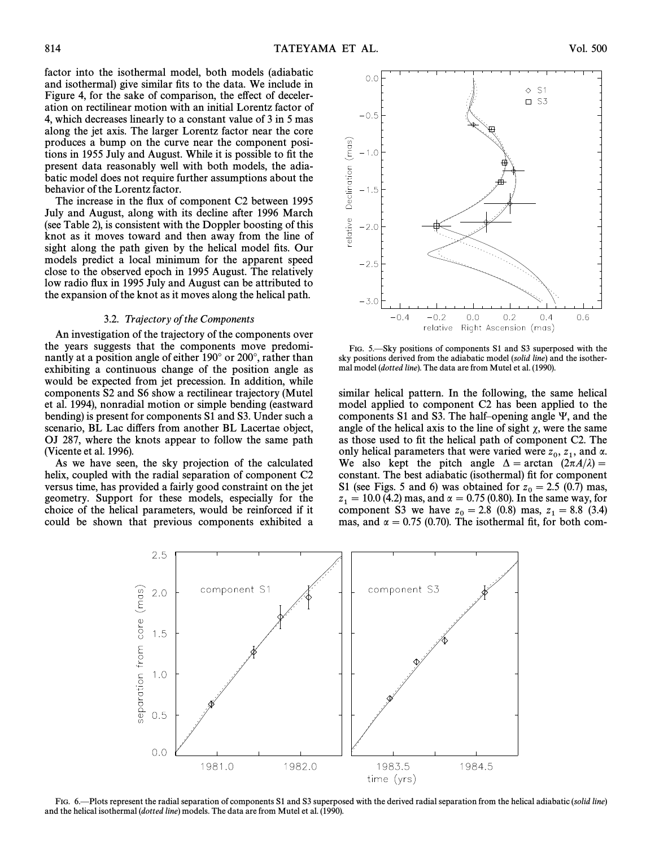factor into the isothermal model, both models (adiabatic and isothermal) give similar fits to the data. We include in Figure 4, for the sake of comparison, the effect of deceleration on rectilinear motion with an initial Lorentz factor of 4, which decreases linearly to a constant value of 3 in 5 mas along the jet axis. The larger Lorentz factor near the core produces a bump on the curve near the component positions in 1955 July and August. While it is possible to fit the present data reasonably well with both models, the adiabatic model does not require further assumptions about the behavior of the Lorentz factor.

The increase in the flux of component C2 between 1995 July and August, along with its decline after 1996 March (see Table 2), is consistent with the Doppler boosting of this knot as it moves toward and then away from the line of sight along the path given by the helical model fits. Our models predict a local minimum for the apparent speed close to the observed epoch in 1995 August. The relatively low radio flux in 1995 July and August can be attributed to the expansion of the knot as it moves along the helical path.

#### 3.2. Trajectory of the Components

An investigation of the trajectory of the components over the years suggests that the components move predominantly at a position angle of either 190° or 200°, rather than exhibiting a continuous change of the position angle as would be expected from jet precession. In addition, while components S2 and S6 show a rectilinear trajectory (Mutel et al. 1994), nonradial motion or simple bending (eastward bending) is present for components S1 and S3. Under such a scenario, BL Lac differs from another BL Lacertae object, OJ 287, where the knots appear to follow the same path (Vicente et al.  $1996$ ).

As we have seen, the sky projection of the calculated helix, coupled with the radial separation of component C2 versus time, has provided a fairly good constraint on the jet geometry. Support for these models, especially for the choice of the helical parameters, would be reinforced if it could be shown that previous components exhibited a



FIG. 5. Sky positions of components S1 and S3 superposed with the sky positions derived from the adiabatic model (solid line) and the isothermal model (dotted line). The data are from Mutel et al. (1990).

similar helical pattern. In the following, the same helical model applied to component C2 has been applied to the components S1 and S3. The half-opening angle  $\Psi$ , and the angle of the helical axis to the line of sight  $\chi$ , were the same as those used to fit the helical path of component C2. The only helical parameters that were varied were  $z_0$ ,  $z_1$ , and  $\alpha$ .<br>We also kept, the pitch angle  $\Delta = \arctan \left( \frac{(2\pi A/2)}{\epsilon^2} \right)$ We also kept the pitch angle  $\Delta = \arctan \left(2\pi A/\lambda\right) =$ constant. The best adiabatic (isothermal) fit for component S1 (see Figs. 5 and 6) was obtained for  $z_0 = 2.5$  (0.7) mas,  $z_0 = 10.0$  (4.2) mas, and  $\alpha = 0.75$  (0.80). In the same way, for  $z_1 = 10.0$  (4.2) mas, and  $\alpha = 0.75$  (0.80). In the same way, for component S3 we have  $z_0 = 2.8 \, (0.8)$  mas,  $z_1 = 8.8 \, (3.4)$ <br>mas, and  $\alpha = 0.75 \, (0.70)$ . The isothermal fit for both commas, and  $\alpha = 0.75$  (0.70). The isothermal fit, for both com-



FIG. 6.—Plots represent the radial separation of components S1 and S3 superposed with the derived radial separation from the helical adiabatic (solid line) and the helical isothermal (dotted line) models. The data are from Mutel et al. (1990).